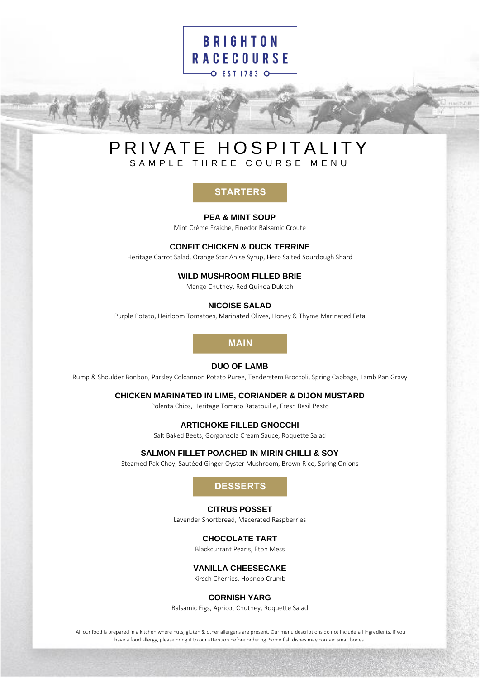# **BRIGHTON RACECOURSE** O EST 1783 O

# PRIVATE HOSPITALITY SAMPLE THREE COURSE MENU

**PEA & MINT SOUP**

Mint Crème Fraiche, Finedor Balsamic Croute

#### **CONFIT CHICKEN & DUCK TERRINE**

Heritage Carrot Salad, Orange Star Anise Syrup, Herb Salted Sourdough Shard

#### **WILD MUSHROOM FILLED BRIE**

Mango Chutney, Red Quinoa Dukkah

#### **NICOISE SALAD**

Purple Potato, Heirloom Tomatoes, Marinated Olives, Honey & Thyme Marinated Feta

## **MAIN**

#### **DUO OF LAMB**

Rump & Shoulder Bonbon, Parsley Colcannon Potato Puree, Tenderstem Broccoli, Spring Cabbage, Lamb Pan Gravy

#### **CHICKEN MARINATED IN LIME, CORIANDER & DIJON MUSTARD**

Polenta Chips, Heritage Tomato Ratatouille, Fresh Basil Pesto

#### **ARTICHOKE FILLED GNOCCHI**

Salt Baked Beets, Gorgonzola Cream Sauce, Roquette Salad

#### **SALMON FILLET POACHED IN MIRIN CHILLI & SOY**

Steamed Pak Choy, Sautéed Ginger Oyster Mushroom, Brown Rice, Spring Onions

## **DESSERTS**

#### **CITRUS POSSET**

Lavender Shortbread, Macerated Raspberries

#### **CHOCOLATE TART**

Blackcurrant Pearls, Eton Mess

#### **VANILLA CHEESECAKE**

Kirsch Cherries, Hobnob Crumb

#### **CORNISH YARG**

Balsamic Figs, Apricot Chutney, Roquette Salad

All our food is prepared in a kitchen where nuts, gluten & other allergens are present. Our menu descriptions do not include all ingredients. If you **EXERT CHICKEN MARTIFIRES**<br> **EXERCISE A MINT SOUP<br>
CONFIT CHICKEN & DUCK TERRINE**<br>
Heritage Carots Salad, Orange Star Anise Syop, Herb Saled Sourdaugh Shard<br> **WILD MUSHROOM FILLED BRIE**<br>
Magn Chunney, Sed Quinoa Dukkah<br>
NI